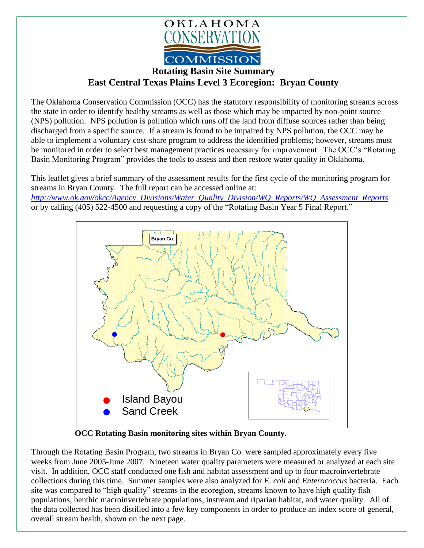

## **Rotating Basin Site Summary East Central Texas Plains Level 3 Ecoregion: Bryan County**

The Oklahoma Conservation Commission (OCC) has the statutory responsibility of monitoring streams across the state in order to identify healthy streams as well as those which may be impacted by non-point source (NPS) pollution. NPS pollution is pollution which runs off the land from diffuse sources rather than being discharged from a specific source. If a stream is found to be impaired by NPS pollution, the OCC may be able to implement a voluntary cost-share program to address the identified problems; however, streams must be monitored in order to select best management practices necessary for improvement. The OCC's "Rotating Basin Monitoring Program" provides the tools to assess and then restore water quality in Oklahoma.

This leaflet gives a brief summary of the assessment results for the first cycle of the monitoring program for streams in Bryan County. The full report can be accessed online at: *[http://www.ok.gov/okcc/Agency\\_Divisions/Water\\_Quality\\_Division/WQ\\_Reports/WQ\\_Assessment\\_Reports](http://www.ok.gov/okcc/Agency_Divisions/Water_Quality_Division/WQ_Reports/WQ_Assessment_Reports)* or by calling (405) 522-4500 and requesting a copy of the "Rotating Basin Year 5 Final Report."



 **OCC Rotating Basin monitoring sites within Bryan County.**

Through the Rotating Basin Program, two streams in Bryan Co. were sampled approximately every five weeks from June 2005-June 2007. Nineteen water quality parameters were measured or analyzed at each site visit. In addition, OCC staff conducted one fish and habitat assessment and up to four macroinvertebrate collections during this time. Summer samples were also analyzed for *E. coli* and *Enterococcus* bacteria. Each site was compared to "high quality" streams in the ecoregion, streams known to have high quality fish populations, benthic macroinvertebrate populations, instream and riparian habitat, and water quality. All of the data collected has been distilled into a few key components in order to produce an index score of general, overall stream health, shown on the next page.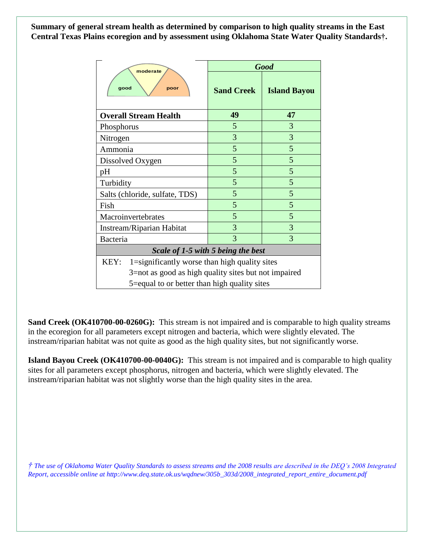**Summary of general stream health as determined by comparison to high quality streams in the East Central Texas Plains ecoregion and by assessment using Oklahoma State Water Quality Standards†.**

| moderate<br>good<br>poor                              | <b>Good</b>       |                     |
|-------------------------------------------------------|-------------------|---------------------|
|                                                       | <b>Sand Creek</b> | <b>Island Bayou</b> |
| <b>Overall Stream Health</b>                          | 49                | 47                  |
| Phosphorus                                            | 5                 | 3                   |
| Nitrogen                                              | 3                 | 3                   |
| Ammonia                                               | 5                 | 5                   |
| Dissolved Oxygen                                      | 5                 | 5                   |
| pH                                                    | 5                 | 5                   |
| Turbidity                                             | 5                 | 5                   |
| Salts (chloride, sulfate, TDS)                        | 5                 | 5                   |
| Fish                                                  | 5                 | 5                   |
| Macroinvertebrates                                    | 5                 | 5                   |
| Instream/Riparian Habitat                             | 3                 | 3                   |
| Bacteria                                              | 3                 | 3                   |
| Scale of 1-5 with 5 being the best                    |                   |                     |
| KEY:<br>1=significantly worse than high quality sites |                   |                     |
| 3=not as good as high quality sites but not impaired  |                   |                     |
| 5= equal to or better than high quality sites         |                   |                     |

**Sand Creek (OK410700-00-0260G):** This stream is not impaired and is comparable to high quality streams in the ecoregion for all parameters except nitrogen and bacteria, which were slightly elevated. The instream/riparian habitat was not quite as good as the high quality sites, but not significantly worse.

**Island Bayou Creek (OK410700-00-0040G):** This stream is not impaired and is comparable to high quality sites for all parameters except phosphorus, nitrogen and bacteria, which were slightly elevated. The instream/riparian habitat was not slightly worse than the high quality sites in the area.

*† The use of Oklahoma Water Quality Standards to assess streams and the 2008 results are described in the DEQ's 2008 Integrated Report, accessible online at http://www.deq.state.ok.us/wqdnew/305b\_303d/2008\_integrated\_report\_entire\_document.pdf*